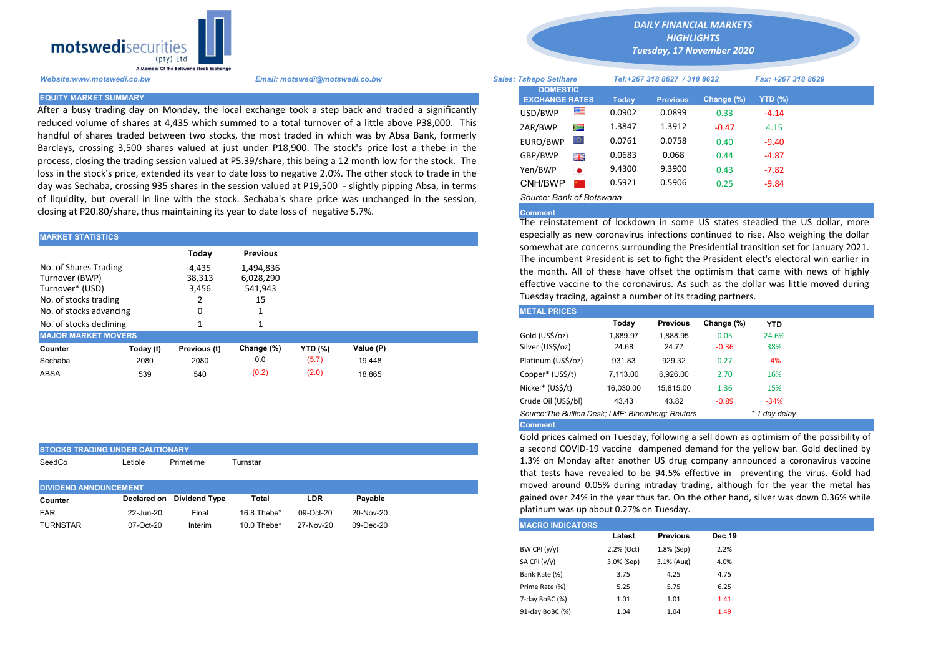

STOCKS TRADING UNDER CAUTIONARY

After a busy trading day on Monday, the local exchange took a step back and traded a significantly reduced volume of shares at 4,435 which summed to a total turnover of a little above P38,000. This handful of shares traded between two stocks, the most traded in which was by Absa Bank, formerly Barclays, crossing 3,500 shares valued at just under P18,900. The stock's price lost a thebe in the process, closing the trading session valued at P5.39/share, this being a 12 month low for the stock. The loss in the stock's price, extended its year to date loss to negative 2.0%. The other stock to trade in the day was Sechaba, crossing 935 shares in the session valued at P19,500 - slightly pipping Absa, in terms of liquidity, but overall in line with the stock. Sechaba's share price was unchanged in the session, closing at P20.80/share, thus maintaining its year to date loss of negative 5.7%.

| <b>MARKET STATISTICS</b>                                                            |           |                                   |                                                            | especially as new coronavirus infections continued to rise. Also we |           |                                                                                                                                                                                                                                                                                                                                                          |          |                 |            |            |  |
|-------------------------------------------------------------------------------------|-----------|-----------------------------------|------------------------------------------------------------|---------------------------------------------------------------------|-----------|----------------------------------------------------------------------------------------------------------------------------------------------------------------------------------------------------------------------------------------------------------------------------------------------------------------------------------------------------------|----------|-----------------|------------|------------|--|
| No. of Shares Trading<br>Turnover (BWP)<br>Turnover* (USD)<br>No. of stocks trading |           | Today<br>4,435<br>38,313<br>3,456 | <b>Previous</b><br>1,494,836<br>6,028,290<br>541,943<br>15 |                                                                     |           | somewhat are concerns surrounding the Presidential transition set for<br>The incumbent President is set to fight the President elect's elector<br>the month. All of these have offset the optimism that came with<br>effective vaccine to the coronavirus. As such as the dollar was littl<br>Tuesday trading, against a number of its trading partners. |          |                 |            |            |  |
| No. of stocks advancing                                                             |           |                                   |                                                            |                                                                     |           | <b>METAL PRICES</b>                                                                                                                                                                                                                                                                                                                                      |          |                 |            |            |  |
| No. of stocks declining                                                             |           |                                   |                                                            |                                                                     |           |                                                                                                                                                                                                                                                                                                                                                          | Today    | <b>Previous</b> | Change (%) | <b>YTD</b> |  |
| <b>MAJOR MARKET MOVERS</b>                                                          |           |                                   |                                                            |                                                                     |           | Gold (US\$/oz)                                                                                                                                                                                                                                                                                                                                           | 1.889.97 | 1.888.95        | 0.05       | 24.6%      |  |
| Counter                                                                             | Today (t) | Previous (t)                      | Change (%)                                                 | <b>YTD (%)</b>                                                      | Value (P) | Silver (US\$/oz)                                                                                                                                                                                                                                                                                                                                         | 24.68    | 24.77           | $-0.36$    | 38%        |  |
| Sechaba                                                                             | 2080      | 2080                              | 0.0                                                        | (5.7)                                                               | 19.448    | Platinum (US\$/oz)                                                                                                                                                                                                                                                                                                                                       | 931.83   | 929.32          | 0.27       | $-4%$      |  |
| <b>ABSA</b>                                                                         | 539       | 540                               | (0.2)                                                      | (2.0)                                                               | 18.865    | Copper* (US\$/t)                                                                                                                                                                                                                                                                                                                                         | 7.113.00 | 6.926.00        | 2.70       | 16%        |  |

| SeedCo                       | Letlole   | Primetime                 | Turnstar    |           |           |  |  |
|------------------------------|-----------|---------------------------|-------------|-----------|-----------|--|--|
| <b>DIVIDEND ANNOUNCEMENT</b> |           |                           |             |           |           |  |  |
| Counter                      |           | Declared on Dividend Type | Total       | LDR       | Pavable   |  |  |
| <b>FAR</b>                   | 22-Jun-20 | Final                     | 16.8 Thebe* | 09-Oct-20 | 20-Nov-20 |  |  |
| <b>TURNSTAR</b>              | 07-Oct-20 | Interim                   | 10.0 Thebe* | 27-Nov-20 | 09-Dec-20 |  |  |

*DAILY FINANCIAL MARKETS*

*HIGHLIGHTS Tuesday, 17 November 2020* 

| A Member Of the Borswand Stock Exchange |                                                                                                                                                                                                                 |                               |                                          |                              |        |                 |                    |           |  |
|-----------------------------------------|-----------------------------------------------------------------------------------------------------------------------------------------------------------------------------------------------------------------|-------------------------------|------------------------------------------|------------------------------|--------|-----------------|--------------------|-----------|--|
| Website:www.motswedi.co.bw              | Email: motswedi@motswedi.co.bw                                                                                                                                                                                  | <b>Sales: Tshepo Setlhare</b> |                                          | Tel:+267 318 8627 / 318 8622 |        |                 | Fax: +267 318 8629 |           |  |
| <b>EQUITY MARKET SUMMARY</b>            |                                                                                                                                                                                                                 |                               | <b>DOMESTIC</b><br><b>EXCHANGE RATES</b> |                              | Today  | <b>Previous</b> | Change $(\%)$      | $YTD(\%)$ |  |
|                                         | After a busy trading day on Monday, the local exchange took a step back and traded a significantly                                                                                                              |                               | USD/BWP                                  | ≝                            | 0.0902 | 0.0899          | 0.33               | $-4.14$   |  |
|                                         | educed volume of shares at 4,435 which summed to a total turnover of a little above P38,000. This                                                                                                               |                               | ZAR/BWP                                  | Ň                            | 1.3847 | 1.3912          | $-0.47$            | 4.15      |  |
|                                         | iandful of shares traded between two stocks, the most traded in which was by Absa Bank, formerly                                                                                                                |                               | EURO/BWP                                 | LO I                         | 0.0761 | 0.0758          | 0.40               | $-9.40$   |  |
|                                         | Barclays, crossing 3,500 shares valued at just under P18,900. The stock's price lost a thebe in the<br>process, closing the trading session valued at P5.39/share, this being a 12 month low for the stock. The |                               | GBP/BWP                                  | 開幕                           | 0.0683 | 0.068           | 0.44               | $-4.87$   |  |
|                                         | oss in the stock's price, extended its year to date loss to negative 2.0%. The other stock to trade in the                                                                                                      |                               | Yen/BWP                                  | $\bullet$                    | 9.4300 | 9.3900          | 0.43               | $-7.82$   |  |
|                                         | day was Sechaba, crossing 935 shares in the session valued at P19,500 - slightly pipping Absa, in terms                                                                                                         |                               | CNH/BWP                                  |                              | 0.5921 | 0.5906          | 0.25               | $-9.84$   |  |
|                                         | of liquidity, but overall in line with the stock. Sechaba's share price was unchanged in the session                                                                                                            |                               | Source: Bank of Botswana                 |                              |        |                 |                    |           |  |

## Comment

The reinstatement of lockdown in some US states steadied the US dollar, more especially as new coronavirus infections continued to rise. Also weighing the dollar somewhat are concerns surrounding the Presidential transition set for January 2021. The incumbent President is set to fight the President elect's electoral win earlier in the month. All of these have offset the optimism that came with news of highly effective vaccine to the coronavirus. As such as the dollar was little moved during Tuesday trading, against a number of its trading partners.

| <b>METAL PRICES</b>                                                |           |                 |            |            |  |  |  |  |  |
|--------------------------------------------------------------------|-----------|-----------------|------------|------------|--|--|--|--|--|
|                                                                    | Today     | <b>Previous</b> | Change (%) | <b>YTD</b> |  |  |  |  |  |
| Gold (US\$/oz)                                                     | 1.889.97  | 1.888.95        | 0.05       | 24.6%      |  |  |  |  |  |
| Silver (US\$/oz)                                                   | 24.68     | 24.77           | $-0.36$    | 38%        |  |  |  |  |  |
| Platinum (US\$/oz)                                                 | 931.83    | 929.32          | 0.27       | $-4%$      |  |  |  |  |  |
| Copper* (US\$/t)                                                   | 7,113.00  | 6.926.00        | 2.70       | 16%        |  |  |  |  |  |
| Nickel* (US\$/t)                                                   | 16.030.00 | 15.815.00       | 1.36       | 15%        |  |  |  |  |  |
| Crude Oil (US\$/bl)                                                | 43.43     | 43.82           | $-0.89$    | $-34%$     |  |  |  |  |  |
| Source: The Bullion Desk; LME; Bloomberg; Reuters<br>* 1 day delay |           |                 |            |            |  |  |  |  |  |
| <b>Comment</b>                                                     |           |                 |            |            |  |  |  |  |  |

Gold prices calmed on Tuesday, following a sell down as optimism of the possibility of a second COVID-19 vaccine dampened demand for the yellow bar. Gold declined by 1.3% on Monday after another US drug company announced a coronavirus vaccine that tests have revealed to be 94.5% effective in preventing the virus. Gold had moved around 0.05% during intraday trading, although for the year the metal has gained over 24% in the year thus far. On the other hand, silver was down 0.36% while platinum was up about 0.27% on Tuesday.

| <b>IMACRO INDICATORS</b> |            |                 |               |
|--------------------------|------------|-----------------|---------------|
|                          | Latest     | <b>Previous</b> | <b>Dec 19</b> |
| BW CPI $(y/y)$           | 2.2% (Oct) | 1.8% (Sep)      | 2.2%          |
| SA CPI (y/y)             | 3.0% (Sep) | $3.1%$ (Aug)    | 4.0%          |
| Bank Rate (%)            | 3.75       | 4.25            | 4.75          |
| Prime Rate (%)           | 5.25       | 5.75            | 6.25          |
| 7-day BoBC (%)           | 1.01       | 1.01            | 1.41          |
| 91-day BoBC (%)          | 1.04       | 1.04            | 1.49          |